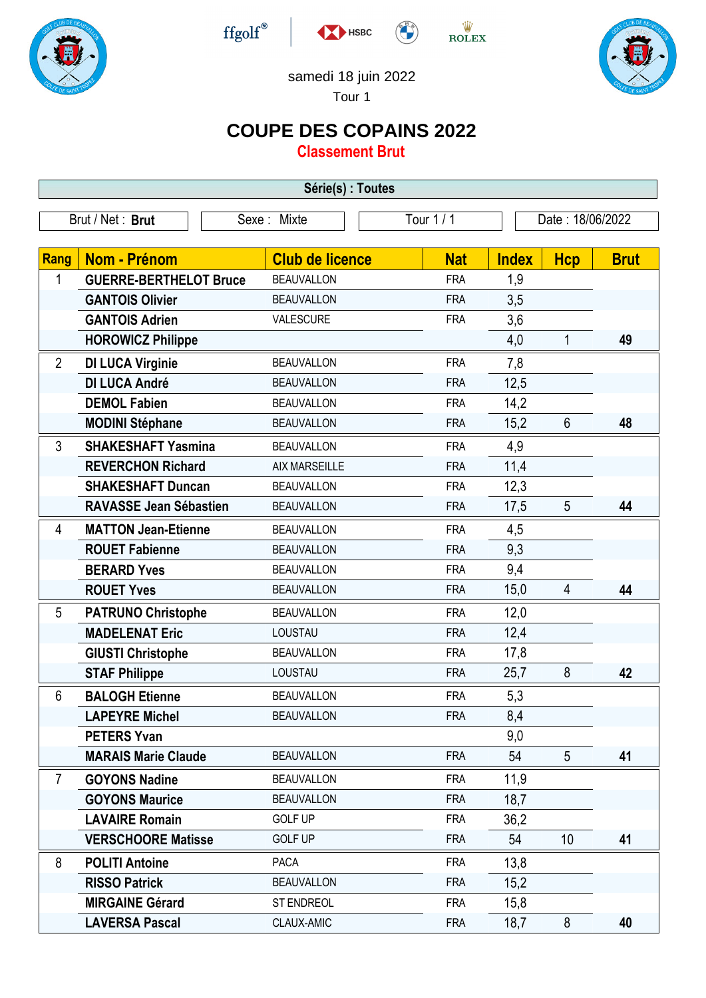







## samedi 18 juin 2022

Tour 1

## **COUPE DES COPAINS 2022**

**Classement Brut**

| Série(s) : Toutes |                               |                        |            |                  |                 |             |  |
|-------------------|-------------------------------|------------------------|------------|------------------|-----------------|-------------|--|
|                   | Brut / Net: Brut              | Sexe: Mixte            | Tour 1 / 1 | Date: 18/06/2022 |                 |             |  |
|                   |                               |                        |            |                  |                 |             |  |
| Rang              | <b>Nom - Prénom</b>           | <b>Club de licence</b> | <b>Nat</b> | <b>Index</b>     | <b>Hcp</b>      | <b>Brut</b> |  |
| 1                 | <b>GUERRE-BERTHELOT Bruce</b> | <b>BEAUVALLON</b>      | <b>FRA</b> | 1,9              |                 |             |  |
|                   | <b>GANTOIS Olivier</b>        | <b>BEAUVALLON</b>      | <b>FRA</b> | 3,5              |                 |             |  |
|                   | <b>GANTOIS Adrien</b>         | VALESCURE              | <b>FRA</b> | 3,6              |                 |             |  |
|                   | <b>HOROWICZ Philippe</b>      |                        |            | 4,0              | $\mathbf{1}$    | 49          |  |
| $\overline{2}$    | <b>DI LUCA Virginie</b>       | <b>BEAUVALLON</b>      | <b>FRA</b> | 7,8              |                 |             |  |
|                   | <b>DI LUCA André</b>          | <b>BEAUVALLON</b>      | <b>FRA</b> | 12,5             |                 |             |  |
|                   | <b>DEMOL Fabien</b>           | <b>BEAUVALLON</b>      | <b>FRA</b> | 14,2             |                 |             |  |
|                   | <b>MODINI Stéphane</b>        | <b>BEAUVALLON</b>      | <b>FRA</b> | 15,2             | $6\phantom{1}$  | 48          |  |
| 3                 | <b>SHAKESHAFT Yasmina</b>     | <b>BEAUVALLON</b>      | <b>FRA</b> | 4,9              |                 |             |  |
|                   | <b>REVERCHON Richard</b>      | <b>AIX MARSEILLE</b>   | <b>FRA</b> | 11,4             |                 |             |  |
|                   | <b>SHAKESHAFT Duncan</b>      | <b>BEAUVALLON</b>      | <b>FRA</b> | 12,3             |                 |             |  |
|                   | <b>RAVASSE Jean Sébastien</b> | <b>BEAUVALLON</b>      | <b>FRA</b> | 17,5             | 5               | 44          |  |
| 4                 | <b>MATTON Jean-Etienne</b>    | <b>BEAUVALLON</b>      | <b>FRA</b> | 4,5              |                 |             |  |
|                   | <b>ROUET Fabienne</b>         | <b>BEAUVALLON</b>      | <b>FRA</b> | 9,3              |                 |             |  |
|                   | <b>BERARD Yves</b>            | <b>BEAUVALLON</b>      | <b>FRA</b> | 9,4              |                 |             |  |
|                   | <b>ROUET Yves</b>             | <b>BEAUVALLON</b>      | <b>FRA</b> | 15,0             | $\overline{4}$  | 44          |  |
| 5                 | <b>PATRUNO Christophe</b>     | <b>BEAUVALLON</b>      | <b>FRA</b> | 12,0             |                 |             |  |
|                   | <b>MADELENAT Eric</b>         | LOUSTAU                | <b>FRA</b> | 12,4             |                 |             |  |
|                   | <b>GIUSTI Christophe</b>      | <b>BEAUVALLON</b>      | <b>FRA</b> | 17,8             |                 |             |  |
|                   | <b>STAF Philippe</b>          | LOUSTAU                | <b>FRA</b> | 25,7             | 8               | 42          |  |
| 6                 | <b>BALOGH Etienne</b>         | <b>BEAUVALLON</b>      | <b>FRA</b> | 5,3              |                 |             |  |
|                   | <b>LAPEYRE Michel</b>         | <b>BEAUVALLON</b>      | <b>FRA</b> | 8,4              |                 |             |  |
|                   | <b>PETERS Yvan</b>            |                        |            | 9,0              |                 |             |  |
|                   | <b>MARAIS Marie Claude</b>    | <b>BEAUVALLON</b>      | <b>FRA</b> | 54               | 5               | 41          |  |
| $\overline{7}$    | <b>GOYONS Nadine</b>          | <b>BEAUVALLON</b>      | <b>FRA</b> | 11,9             |                 |             |  |
|                   | <b>GOYONS Maurice</b>         | <b>BEAUVALLON</b>      | <b>FRA</b> | 18,7             |                 |             |  |
|                   | <b>LAVAIRE Romain</b>         | <b>GOLF UP</b>         | <b>FRA</b> | 36,2             |                 |             |  |
|                   | <b>VERSCHOORE Matisse</b>     | <b>GOLF UP</b>         | <b>FRA</b> | 54               | 10 <sup>1</sup> | 41          |  |
| 8                 | <b>POLITI Antoine</b>         | <b>PACA</b>            | <b>FRA</b> | 13,8             |                 |             |  |
|                   | <b>RISSO Patrick</b>          | <b>BEAUVALLON</b>      | <b>FRA</b> | 15,2             |                 |             |  |
|                   | <b>MIRGAINE Gérard</b>        | <b>ST ENDREOL</b>      | <b>FRA</b> | 15,8             |                 |             |  |
|                   | <b>LAVERSA Pascal</b>         | CLAUX-AMIC             | <b>FRA</b> | 18,7             | 8               | 40          |  |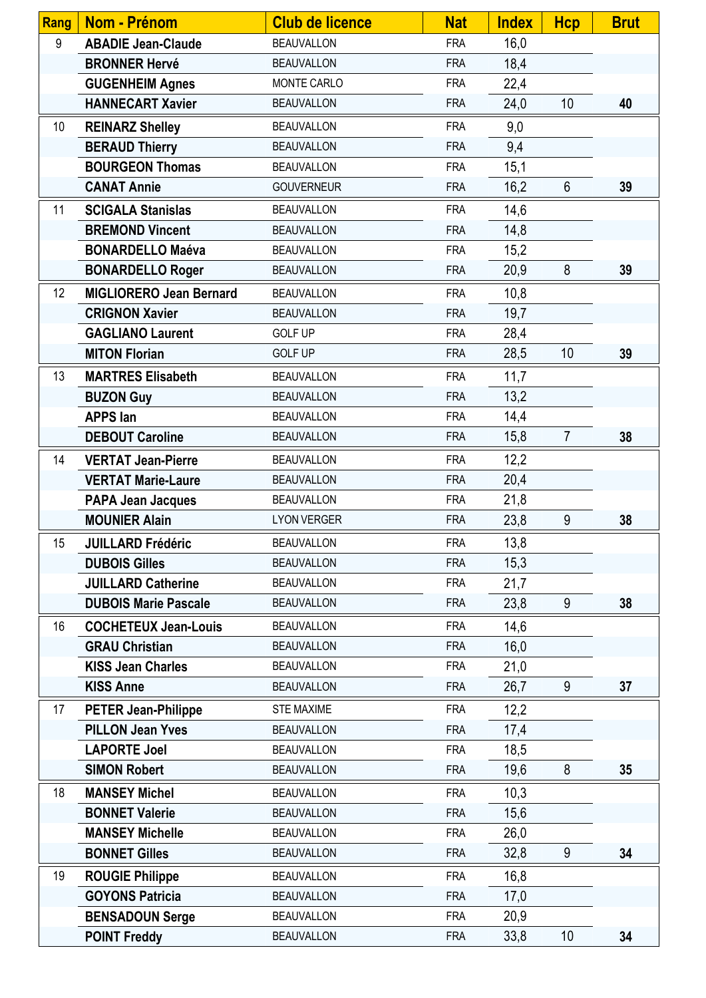| <b>Rang</b> | Nom - Prénom                   | <b>Club de licence</b> | <b>Nat</b> | <b>Index</b> | <b>Hcp</b>     | <b>Brut</b> |
|-------------|--------------------------------|------------------------|------------|--------------|----------------|-------------|
| 9           | <b>ABADIE Jean-Claude</b>      | <b>BEAUVALLON</b>      | <b>FRA</b> | 16,0         |                |             |
|             | <b>BRONNER Hervé</b>           | <b>BEAUVALLON</b>      | <b>FRA</b> | 18,4         |                |             |
|             | <b>GUGENHEIM Agnes</b>         | <b>MONTE CARLO</b>     | <b>FRA</b> | 22,4         |                |             |
|             | <b>HANNECART Xavier</b>        | <b>BEAUVALLON</b>      | <b>FRA</b> | 24,0         | 10             | 40          |
| 10          | <b>REINARZ Shelley</b>         | <b>BEAUVALLON</b>      | <b>FRA</b> | 9,0          |                |             |
|             | <b>BERAUD Thierry</b>          | <b>BEAUVALLON</b>      | <b>FRA</b> | 9,4          |                |             |
|             | <b>BOURGEON Thomas</b>         | <b>BEAUVALLON</b>      | <b>FRA</b> | 15,1         |                |             |
|             | <b>CANAT Annie</b>             | <b>GOUVERNEUR</b>      | <b>FRA</b> | 16,2         | $6\phantom{1}$ | 39          |
| 11          | <b>SCIGALA Stanislas</b>       | <b>BEAUVALLON</b>      | <b>FRA</b> | 14,6         |                |             |
|             | <b>BREMOND Vincent</b>         | <b>BEAUVALLON</b>      | <b>FRA</b> | 14,8         |                |             |
|             | <b>BONARDELLO Maéva</b>        | <b>BEAUVALLON</b>      | <b>FRA</b> | 15,2         |                |             |
|             | <b>BONARDELLO Roger</b>        | <b>BEAUVALLON</b>      | <b>FRA</b> | 20,9         | 8              | 39          |
| 12          | <b>MIGLIORERO Jean Bernard</b> | <b>BEAUVALLON</b>      | <b>FRA</b> | 10,8         |                |             |
|             | <b>CRIGNON Xavier</b>          | <b>BEAUVALLON</b>      | <b>FRA</b> | 19,7         |                |             |
|             | <b>GAGLIANO Laurent</b>        | <b>GOLF UP</b>         | <b>FRA</b> | 28,4         |                |             |
|             | <b>MITON Florian</b>           | <b>GOLF UP</b>         | <b>FRA</b> | 28,5         | 10             | 39          |
| 13          | <b>MARTRES Elisabeth</b>       | <b>BEAUVALLON</b>      | <b>FRA</b> | 11,7         |                |             |
|             | <b>BUZON Guy</b>               | <b>BEAUVALLON</b>      | <b>FRA</b> | 13,2         |                |             |
|             | <b>APPS lan</b>                | <b>BEAUVALLON</b>      | <b>FRA</b> | 14,4         |                |             |
|             | <b>DEBOUT Caroline</b>         | <b>BEAUVALLON</b>      | <b>FRA</b> | 15,8         | $\overline{7}$ | 38          |
| 14          | <b>VERTAT Jean-Pierre</b>      | <b>BEAUVALLON</b>      | <b>FRA</b> | 12,2         |                |             |
|             | <b>VERTAT Marie-Laure</b>      | <b>BEAUVALLON</b>      | <b>FRA</b> | 20,4         |                |             |
|             | <b>PAPA Jean Jacques</b>       | <b>BEAUVALLON</b>      | <b>FRA</b> | 21,8         |                |             |
|             | <b>MOUNIER Alain</b>           | <b>LYON VERGER</b>     | <b>FRA</b> | 23,8         | 9              | 38          |
| 15          | <b>JUILLARD Frédéric</b>       | <b>BEAUVALLON</b>      | <b>FRA</b> | 13,8         |                |             |
|             | <b>DUBOIS Gilles</b>           | <b>BEAUVALLON</b>      | <b>FRA</b> | 15,3         |                |             |
|             | <b>JUILLARD Catherine</b>      | <b>BEAUVALLON</b>      | <b>FRA</b> | 21,7         |                |             |
|             | <b>DUBOIS Marie Pascale</b>    | <b>BEAUVALLON</b>      | <b>FRA</b> | 23,8         | 9              | 38          |
| 16          | <b>COCHETEUX Jean-Louis</b>    | <b>BEAUVALLON</b>      | <b>FRA</b> | 14,6         |                |             |
|             | <b>GRAU Christian</b>          | <b>BEAUVALLON</b>      | <b>FRA</b> | 16,0         |                |             |
|             | <b>KISS Jean Charles</b>       | <b>BEAUVALLON</b>      | <b>FRA</b> | 21,0         |                |             |
|             | <b>KISS Anne</b>               | <b>BEAUVALLON</b>      | <b>FRA</b> | 26,7         | 9              | 37          |
| 17          | <b>PETER Jean-Philippe</b>     | <b>STE MAXIME</b>      | <b>FRA</b> | 12,2         |                |             |
|             | <b>PILLON Jean Yves</b>        | <b>BEAUVALLON</b>      | <b>FRA</b> | 17,4         |                |             |
|             | <b>LAPORTE Joel</b>            | <b>BEAUVALLON</b>      | <b>FRA</b> | 18,5         |                |             |
|             | <b>SIMON Robert</b>            | <b>BEAUVALLON</b>      | <b>FRA</b> | 19,6         | 8              | 35          |
| 18          | <b>MANSEY Michel</b>           | <b>BEAUVALLON</b>      | <b>FRA</b> | 10,3         |                |             |
|             | <b>BONNET Valerie</b>          | <b>BEAUVALLON</b>      | <b>FRA</b> | 15,6         |                |             |
|             | <b>MANSEY Michelle</b>         | <b>BEAUVALLON</b>      | <b>FRA</b> | 26,0         |                |             |
|             | <b>BONNET Gilles</b>           | <b>BEAUVALLON</b>      | <b>FRA</b> | 32,8         | 9              | 34          |
| 19          | <b>ROUGIE Philippe</b>         | <b>BEAUVALLON</b>      | <b>FRA</b> | 16,8         |                |             |
|             | <b>GOYONS Patricia</b>         | <b>BEAUVALLON</b>      | <b>FRA</b> | 17,0         |                |             |
|             | <b>BENSADOUN Serge</b>         | <b>BEAUVALLON</b>      | <b>FRA</b> | 20,9         |                |             |
|             | <b>POINT Freddy</b>            | <b>BEAUVALLON</b>      | <b>FRA</b> | 33,8         | 10             | 34          |